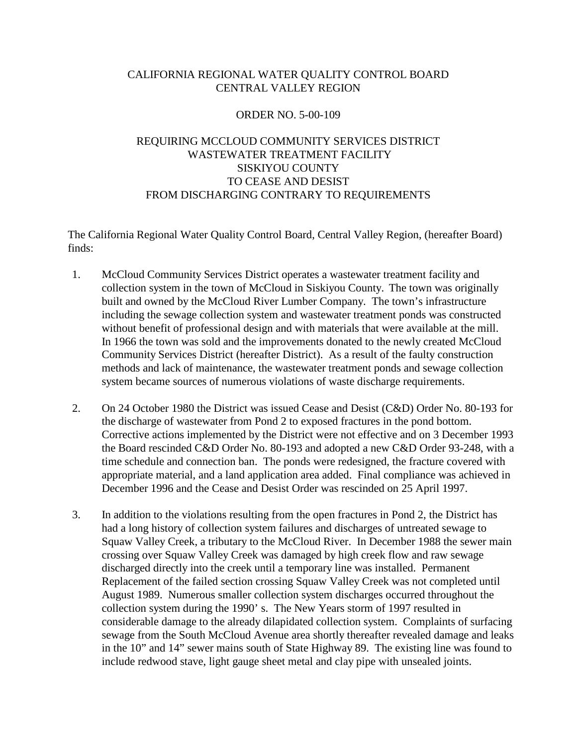# CALIFORNIA REGIONAL WATER QUALITY CONTROL BOARD CENTRAL VALLEY REGION

## ORDER NO. 5-00-109

# REQUIRING MCCLOUD COMMUNITY SERVICES DISTRICT WASTEWATER TREATMENT FACILITY SISKIYOU COUNTY TO CEASE AND DESIST FROM DISCHARGING CONTRARY TO REQUIREMENTS

The California Regional Water Quality Control Board, Central Valley Region, (hereafter Board) finds:

- 1. McCloud Community Services District operates a wastewater treatment facility and collection system in the town of McCloud in Siskiyou County. The town was originally built and owned by the McCloud River Lumber Company. The town's infrastructure including the sewage collection system and wastewater treatment ponds was constructed without benefit of professional design and with materials that were available at the mill. In 1966 the town was sold and the improvements donated to the newly created McCloud Community Services District (hereafter District). As a result of the faulty construction methods and lack of maintenance, the wastewater treatment ponds and sewage collection system became sources of numerous violations of waste discharge requirements.
- 2. On 24 October 1980 the District was issued Cease and Desist (C&D) Order No. 80-193 for the discharge of wastewater from Pond 2 to exposed fractures in the pond bottom. Corrective actions implemented by the District were not effective and on 3 December 1993 the Board rescinded C&D Order No. 80-193 and adopted a new C&D Order 93-248, with a time schedule and connection ban. The ponds were redesigned, the fracture covered with appropriate material, and a land application area added. Final compliance was achieved in December 1996 and the Cease and Desist Order was rescinded on 25 April 1997.
- 3. In addition to the violations resulting from the open fractures in Pond 2, the District has had a long history of collection system failures and discharges of untreated sewage to Squaw Valley Creek, a tributary to the McCloud River. In December 1988 the sewer main crossing over Squaw Valley Creek was damaged by high creek flow and raw sewage discharged directly into the creek until a temporary line was installed. Permanent Replacement of the failed section crossing Squaw Valley Creek was not completed until August 1989. Numerous smaller collection system discharges occurred throughout the collection system during the 1990' s. The New Years storm of 1997 resulted in considerable damage to the already dilapidated collection system. Complaints of surfacing sewage from the South McCloud Avenue area shortly thereafter revealed damage and leaks in the 10" and 14" sewer mains south of State Highway 89. The existing line was found to include redwood stave, light gauge sheet metal and clay pipe with unsealed joints.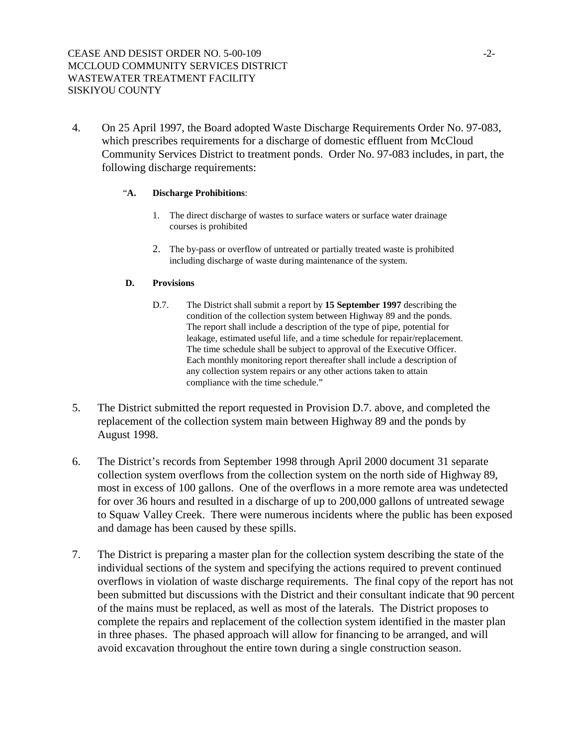## CEASE AND DESIST ORDER NO. 5-00-109  $-2$ -MCCLOUD COMMUNITY SERVICES DISTRICT WASTEWATER TREATMENT FACILITY SISKIYOU COUNTY

4. On 25 April 1997, the Board adopted Waste Discharge Requirements Order No. 97-083, which prescribes requirements for a discharge of domestic effluent from McCloud Community Services District to treatment ponds. Order No. 97-083 includes, in part, the following discharge requirements:

## "**A. Discharge Prohibitions**:

- 1. The direct discharge of wastes to surface waters or surface water drainage courses is prohibited
- 2. The by-pass or overflow of untreated or partially treated waste is prohibited including discharge of waste during maintenance of the system.

## **D. Provisions**

- D.7. The District shall submit a report by **15 September 1997** describing the condition of the collection system between Highway 89 and the ponds. The report shall include a description of the type of pipe, potential for leakage, estimated useful life, and a time schedule for repair/replacement. The time schedule shall be subject to approval of the Executive Officer. Each monthly monitoring report thereafter shall include a description of any collection system repairs or any other actions taken to attain compliance with the time schedule."
- 5. The District submitted the report requested in Provision D.7. above, and completed the replacement of the collection system main between Highway 89 and the ponds by August 1998.
- 6. The District's records from September 1998 through April 2000 document 31 separate collection system overflows from the collection system on the north side of Highway 89, most in excess of 100 gallons. One of the overflows in a more remote area was undetected for over 36 hours and resulted in a discharge of up to 200,000 gallons of untreated sewage to Squaw Valley Creek. There were numerous incidents where the public has been exposed and damage has been caused by these spills.
- 7. The District is preparing a master plan for the collection system describing the state of the individual sections of the system and specifying the actions required to prevent continued overflows in violation of waste discharge requirements. The final copy of the report has not been submitted but discussions with the District and their consultant indicate that 90 percent of the mains must be replaced, as well as most of the laterals. The District proposes to complete the repairs and replacement of the collection system identified in the master plan in three phases. The phased approach will allow for financing to be arranged, and will avoid excavation throughout the entire town during a single construction season.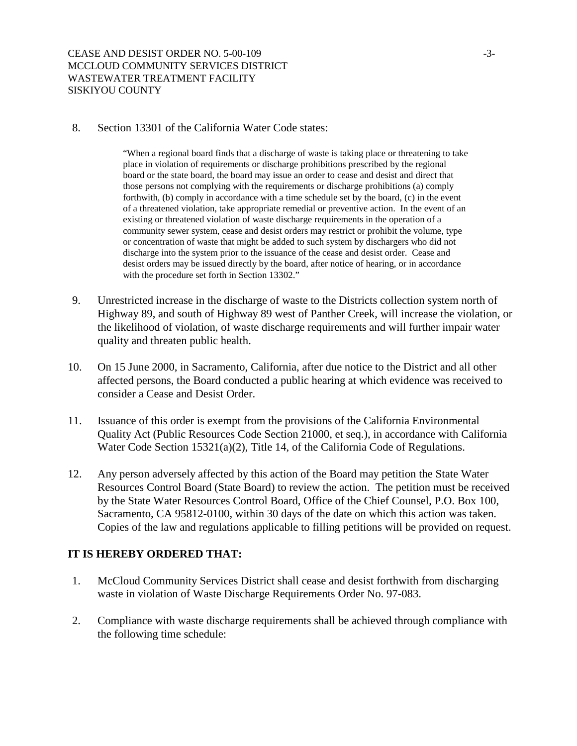8. Section 13301 of the California Water Code states:

"When a regional board finds that a discharge of waste is taking place or threatening to take place in violation of requirements or discharge prohibitions prescribed by the regional board or the state board, the board may issue an order to cease and desist and direct that those persons not complying with the requirements or discharge prohibitions (a) comply forthwith, (b) comply in accordance with a time schedule set by the board, (c) in the event of a threatened violation, take appropriate remedial or preventive action. In the event of an existing or threatened violation of waste discharge requirements in the operation of a community sewer system, cease and desist orders may restrict or prohibit the volume, type or concentration of waste that might be added to such system by dischargers who did not discharge into the system prior to the issuance of the cease and desist order. Cease and desist orders may be issued directly by the board, after notice of hearing, or in accordance with the procedure set forth in Section 13302."

- 9. Unrestricted increase in the discharge of waste to the Districts collection system north of Highway 89, and south of Highway 89 west of Panther Creek, will increase the violation, or the likelihood of violation, of waste discharge requirements and will further impair water quality and threaten public health.
- 10. On 15 June 2000, in Sacramento, California, after due notice to the District and all other affected persons, the Board conducted a public hearing at which evidence was received to consider a Cease and Desist Order.
- 11. Issuance of this order is exempt from the provisions of the California Environmental Quality Act (Public Resources Code Section 21000, et seq.), in accordance with California Water Code Section 15321(a)(2), Title 14, of the California Code of Regulations.
- 12. Any person adversely affected by this action of the Board may petition the State Water Resources Control Board (State Board) to review the action. The petition must be received by the State Water Resources Control Board, Office of the Chief Counsel, P.O. Box 100, Sacramento, CA 95812-0100, within 30 days of the date on which this action was taken. Copies of the law and regulations applicable to filling petitions will be provided on request.

# **IT IS HEREBY ORDERED THAT:**

- 1. McCloud Community Services District shall cease and desist forthwith from discharging waste in violation of Waste Discharge Requirements Order No. 97-083.
- 2. Compliance with waste discharge requirements shall be achieved through compliance with the following time schedule: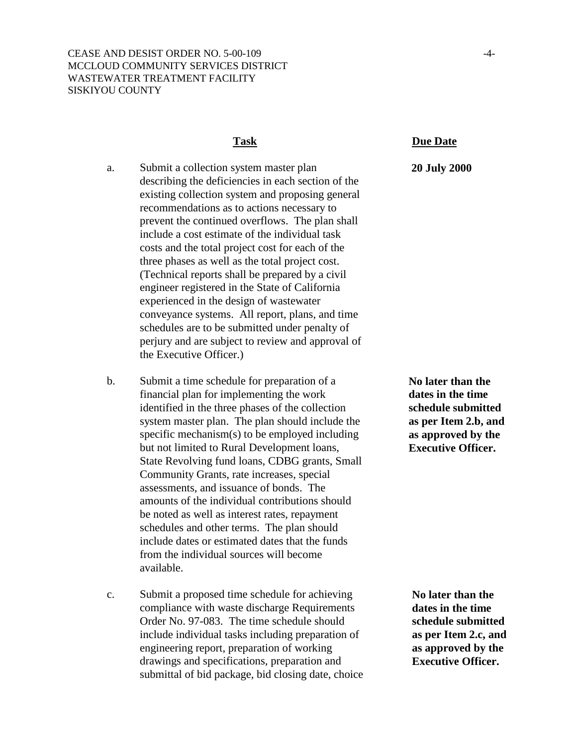- a. Submit a collection system master plan describing the deficiencies in each section of the existing collection system and proposing general recommendations as to actions necessary to prevent the continued overflows. The plan shall include a cost estimate of the individual task costs and the total project cost for each of the three phases as well as the total project cost. (Technical reports shall be prepared by a civil engineer registered in the State of California experienced in the design of wastewater conveyance systems. All report, plans, and time schedules are to be submitted under penalty of perjury and are subject to review and approval of the Executive Officer.)
- b. Submit a time schedule for preparation of a financial plan for implementing the work identified in the three phases of the collection system master plan. The plan should include the specific mechanism(s) to be employed including but not limited to Rural Development loans, State Revolving fund loans, CDBG grants, Small Community Grants, rate increases, special assessments, and issuance of bonds. The amounts of the individual contributions should be noted as well as interest rates, repayment schedules and other terms. The plan should include dates or estimated dates that the funds from the individual sources will become available.
- c. Submit a proposed time schedule for achieving compliance with waste discharge Requirements Order No. 97-083. The time schedule should include individual tasks including preparation of engineering report, preparation of working drawings and specifications, preparation and submittal of bid package, bid closing date, choice

#### **Task Due Date**

### **20 July 2000**

**No later than the dates in the time schedule submitted as per Item 2.b, and as approved by the Executive Officer.** 

**No later than the dates in the time schedule submitted as per Item 2.c, and as approved by the Executive Officer.**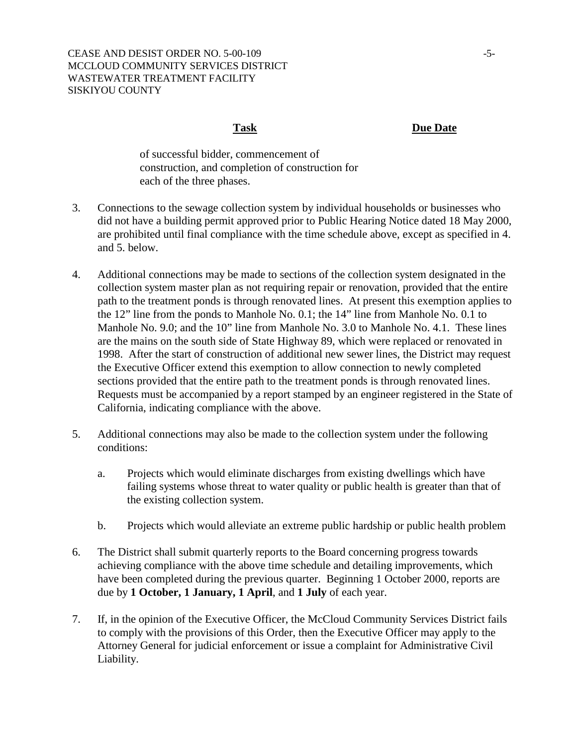**Task Due Date**

of successful bidder, commencement of construction, and completion of construction for each of the three phases.

- 3. Connections to the sewage collection system by individual households or businesses who did not have a building permit approved prior to Public Hearing Notice dated 18 May 2000, are prohibited until final compliance with the time schedule above, except as specified in 4. and 5. below.
- 4. Additional connections may be made to sections of the collection system designated in the collection system master plan as not requiring repair or renovation, provided that the entire path to the treatment ponds is through renovated lines. At present this exemption applies to the 12" line from the ponds to Manhole No. 0.1; the 14" line from Manhole No. 0.1 to Manhole No. 9.0; and the 10" line from Manhole No. 3.0 to Manhole No. 4.1. These lines are the mains on the south side of State Highway 89, which were replaced or renovated in 1998. After the start of construction of additional new sewer lines, the District may request the Executive Officer extend this exemption to allow connection to newly completed sections provided that the entire path to the treatment ponds is through renovated lines. Requests must be accompanied by a report stamped by an engineer registered in the State of California, indicating compliance with the above.
- 5. Additional connections may also be made to the collection system under the following conditions:
	- a. Projects which would eliminate discharges from existing dwellings which have failing systems whose threat to water quality or public health is greater than that of the existing collection system.
	- b. Projects which would alleviate an extreme public hardship or public health problem
- 6. The District shall submit quarterly reports to the Board concerning progress towards achieving compliance with the above time schedule and detailing improvements, which have been completed during the previous quarter. Beginning 1 October 2000, reports are due by **1 October, 1 January, 1 April**, and **1 July** of each year.
- 7. If, in the opinion of the Executive Officer, the McCloud Community Services District fails to comply with the provisions of this Order, then the Executive Officer may apply to the Attorney General for judicial enforcement or issue a complaint for Administrative Civil Liability.